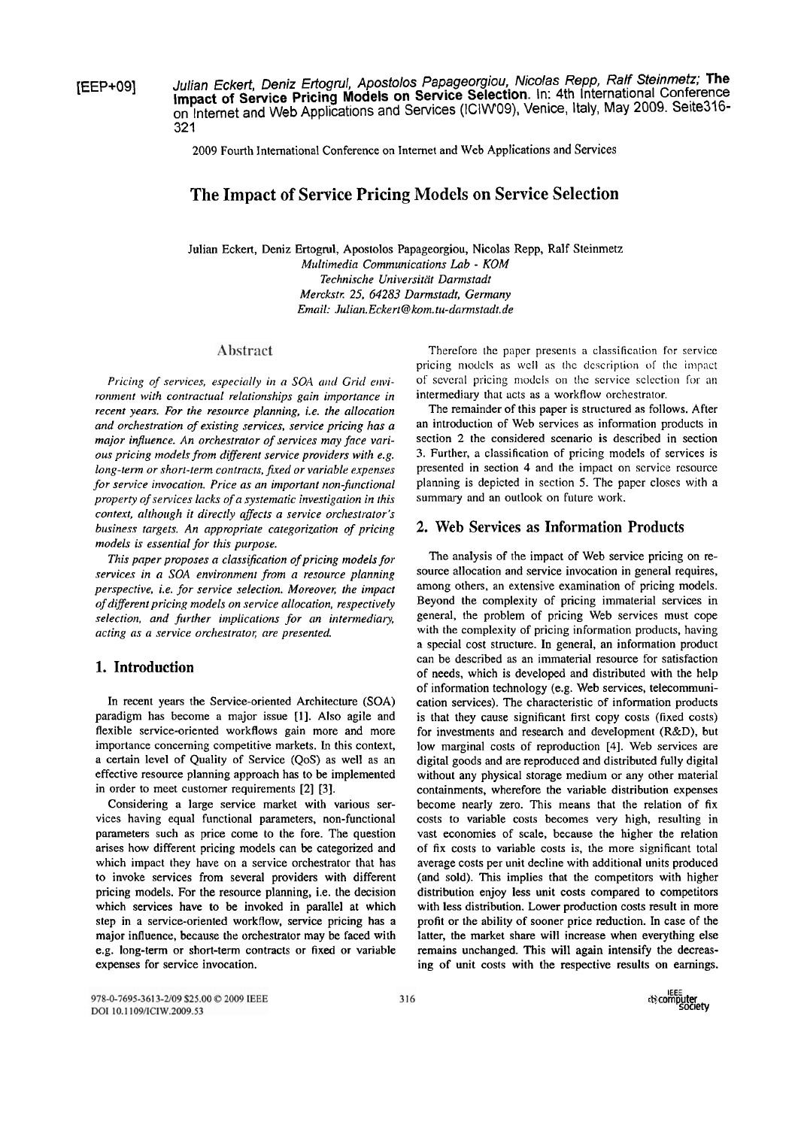**[EEP+09]** Julian Ecker?, **Denk** Eitognil, Apostolos Papageorgiou, Nicolas Repp, Ralf **Steinmetz; The Impact of Service Pricing Models on Service Selection.** In: **4th** International Conference on lnternet and Web Applications and Services (ICIW09), Venice, Italy, May 2009. Seite316- 321

2009 Fourth International Conference on Internet and Web Applications and Services

# **The Impact of Service Pricing Models on Service Selection**

Julian Eckert, Deniz Ertogrul, Apostolos Papageorgiou, Nicolas Repp, Ralf Steinmetz *Multimedia Communications Lab* - *KOM Technische Universitiit Darmstadt Merckstr:* **25,** *64283 Darmstadt, Germany Email:* **Julian.EckertOkom.tu-dannstadt.de** 

#### Abstract

*Pricing of services, especially in a SOA and Grid environment with contractual relationships gain importance in recent years. For rhe resource planning, i.e. the allocation and orchestration of existing services, service pricing has a major influence. An orchestrator of services may face various pricing models from different service providers with e.g. long-term or short-term contracts, fixed or variable expenses for service invocation. Price as an important non-functional property of services lncks of a systematic investigation in this context, although it directly affects a service orchestrator's business targets. An appropriate categorization of pricing models is essential for this purpose.* 

*This paper proposes a classification of pricing models for services in a SOA environment from a resource planning perspective, i.e. for service selection. Moreover; the impact of diflerent pricing models on sewice allocation, respectively selection, and further implications for an intermediaty, acting as a service orchestrator; are presented.* 

## **1. Introduction**

In recent years the Service-oriented Architecture (SOA) paradigm has become a major issue [I]. Also agile and flexible service-oriented workflows gain more and more importance conceming competitive markets. In this context, a certain level of Quality of Service (QoS) as well as an effective resource planning approach has to be implemented in order to meet customer requirements **[2] [3].** 

Considering **a** large sewice market with various services having equal functional parameters, non-functional parameters such as price come to the fore. The question arises how different pricing models can **be** categorized and which impact they have on a service orchestrator that has to invoke services from several providers with different pricing models. For the resource planning, i.e. the decision which services have to be invoked in parallel at which step in a service-oriented workflow, service pricing has a major influence, because the orchestrator may be faced with e.g. long-term or short-term contracts or fixed or variable expenses for service invocation.

Therefore the paper presents a classification for service pricing models as well as the description of the impact of several pricing models on the service selection for an intermediary that acts as a workflow orchestrator.

The remainder of this paper is structured as follows. After an introduction of Web sewices as information products in section *2* the considered scenario is described in section 3. Further, a classification of pricing models of services is presented in section 4 and the impact on scrvice resource planning is depicted in section 5. The paper closes with a summary and an outlook on future work.

## **2. Web Services as Information Products**

The analysis of the impact of Web service pricing on resource allocation and service invocation in general requires, among others, an extensive examination of pricing models. Beyond the complexity of pricing immaterial services in general, the problem of pricing Web services must cope with the complexity of pricing information products, having **a** special cost structure. In general, an information product can be described as an immaterial resource for satisfaction of needs, which is developed and distributed with the help of information technology (e.g. Web services, telecommunication services). The characteristic of information products is that they cause significant first copy costs (fixed costs) for investments and research and development (R&D), but low marginal costs of reproduction **[4].** Web services are digital goods and are reproduced and distributed fully digital without any physical storage medium or any other material containments, wherefore the variable distribution expenses become nearly Zero. This means that the relation of fix costs to variable costs becomes very high, resulting in vast economies of scale, because the higher the relation of fix costs to variable costs is, the more significant total average costs per unit decline with additional units produced (and sold). This implies that the competitors with higher distribution enjoy less unit costs compared to competitors with less distribution. Lower production costs result in more profit or the ability of sooner price reduction. In case of the latter, the market share will increase when everything else remains unchanged. This will again intensify the decreasing of unit costs with the respective results on earnings.

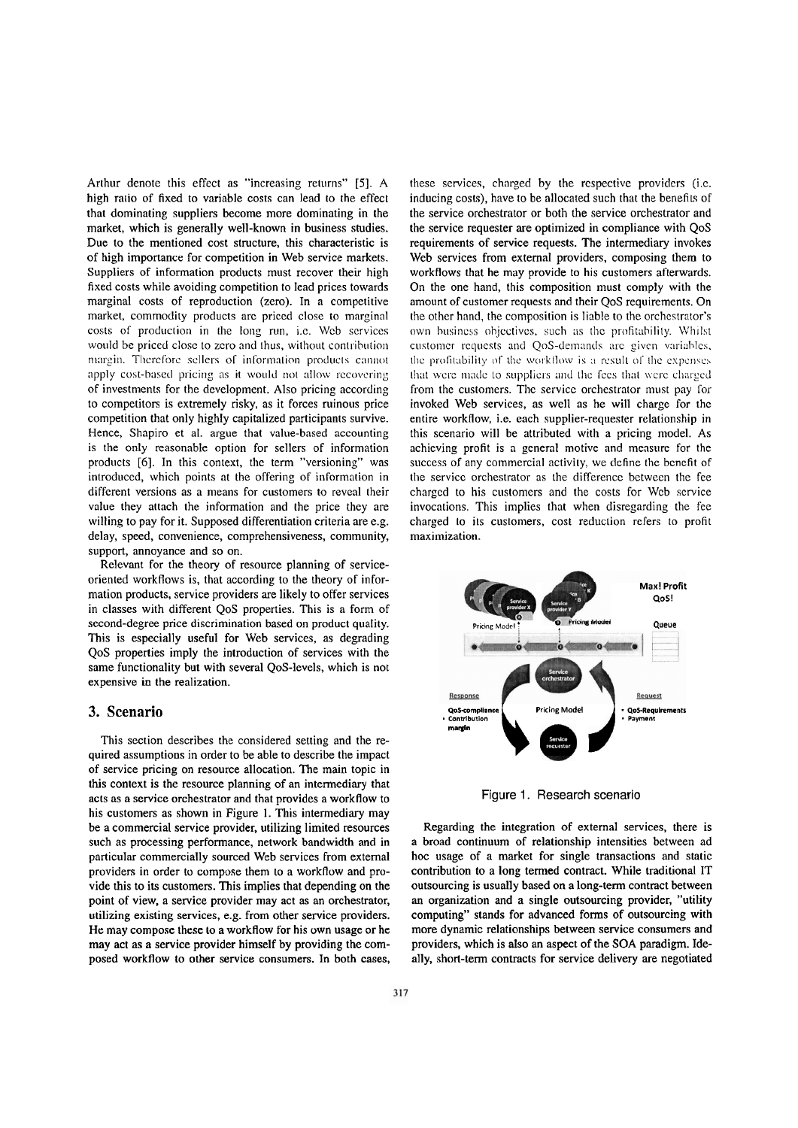Arthur denote this effect as "increasing returns" [5]. A high ratio of fixed to variable costs can lead to the effect that dominating suppliers become more dominating in the market, which is generally well-known in business studies. Due to the mentioned cost structure, this characteristic is of high importance for competition in Web service markets. Suppliers of information products must recover their high fixed costs while avoiding competition to lead prices towards marginal costs of reproduction (zero). In a competitive market, commodity products arc priccd close to marginal costs of production in the long run, i.e. Web services would be priced close to zero and thus, without contribution margin. Therefore sellers of information products cannot apply cost-based pricing as it would not allow recovering of investments for the development. Also pricing according to competitors is extremely risky, as it forces ruinous price competition that only highly capitalized participants survive. Hence, Shapiro et al. argue that value-based accounting is the only reasonable option for sellers of information products [6]. In this context, the term "versioning" was introduced, which points at the offering of information in diffcrent versions as a means for customers to reveal their value they attach the information and the price they are willing to pay for it. Supposed differentiation criteria are e.g. delay, speed, convenience, comprehensiveness, community, support, annoyance and so on.

Relevant for the theory of resource planning of serviceoriented workflows is, that according to the theory of information products, service providers are likely to offer services in classes with different QoS properties. This is a form of second-degree price discrimination based on product quality. This is especially useful for Web sewices, as degrading QoS properties imply the introduction of sewices with the same functionality but with several QoS-levels, which is not expensive in the realization.

## **3. Scenario**

This section describes the considered setting and the required assumptions in order to be able to describe the impact of service pricing on resource allocation. The main topic in this context is the resource planning of an intermediary that acts as a service orchestrator and that provides a workflow to his customers as shown in Figure **1.** This intermediary may be a commercial service provider, utilizing limited resources such as processing performance, network bandwidth and in particular commercially sourced Web services from extemal providers in order to compose them to a workflow and provide this to its customers. This implies that depending on the point of view, a sewice provider may act **as** an orchestrator, utilizing existing services, e.g. from other service providers. He may compose these to a workflow for his own usage or he may act as a sewice provider himself by providing the composed workflow to other service consumers. In both cases, these services, charged by the respective providers (i.c. inducing costs), have to be allocated such that the benefits of the service orchestrator or both the service orchestrator and the service requester are optimized in compliance with QoS requirements of service requests. The intermediary invokes Web services from external providers, composing them to workflows that he may provide to his customers afterwards. On the one hand, this composition must comply with the amount of customer requests and their QoS requirements. On the other hand, the composition is liable to the orchestrator's own business objectives, such as the profitability. Whilst customer requests and QoS-demands are given variables, the profitability of the workflow is a result of the expenses that were made to suppliers and the fees that were charged from the customers. The service orchestrator must pay for invoked Web services, as well as he will charge for thc entire workflow, i.e. each supplier-requester relationship in this scenario will be attributed with a pricing model. As achieving profit is a general motive nnd mensure for the success of any commercial activity, we define the benefit of the service orchestrator as the difference between the fee chargcd to his customcrs and the costs for Wcb scrvice invocations. This implies that when disregarding the fee charged 10 its customers, cost reduction rcfers to profit maximization.



Figure 1. Research scenario

Regarding the integration of external services, there is a broad continuum of relationship intensities between ad hoc usage of a market for single transactions and static contribution to a long termed contract. While traditional IT outsourcing **is** usually based on a long-term contract between an organization and a single outsourcing provider, "utility computing" stands for advanced foms of outsourcing with more dynamic relationships between service consumers and providers, which is also an aspect of the SOA paradigm. Ideally, short-term contracts for sewice deiivery are negotiated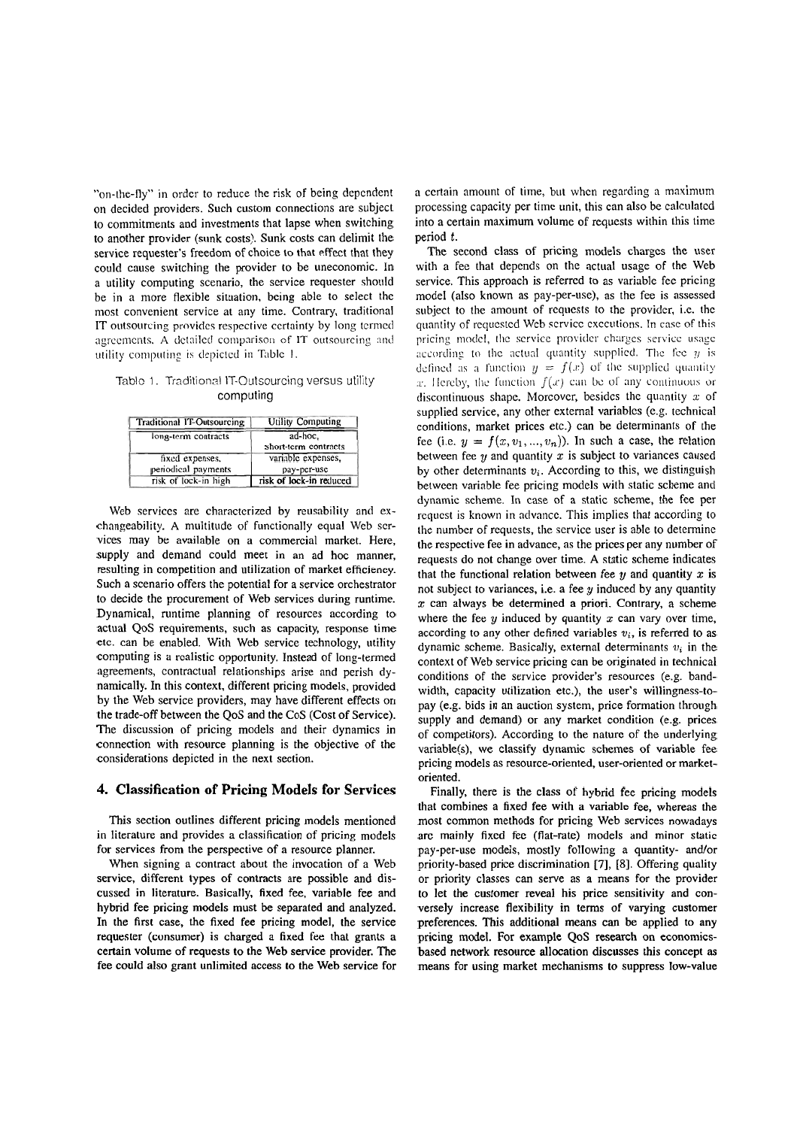"on-the-fly" in order to reduce the risk of being depcndent on decided providers. Such custom connections are subject to commitments and investments that lapse when switching to another provider (sunk costs). Sunk costs can delimit the service requester's freedom of choice to that effect that they could cause switching the provider to be uneconomic. In a utility computing scenario, the service requester should be in a more flexible situation, being able to select the most convenient service at any time. Contrary, traditional IT outsourcing provides respective certainty by long termed agreements. A detailed comparison of IT outsourcing and utility computing is depicted in Table 1.

Table 1. Traditional IT-Outsourcing versus utility computing

| <b>Traditional IT-Outsourcing</b>      | <b>Utility Computing</b>          |
|----------------------------------------|-----------------------------------|
| long-term contracts                    | ad-hoc.<br>short-term contracts   |
| fixed expenses.<br>periodical payments | variable expenses,<br>pay-per-use |
| risk of lock-in high                   | risk of lock-in reduced           |

Web services are characterized by reusability and exchangeability. A multitude of functionally equal Web scrvices may be available on a commercial market. Here, supply and demand could meet in an ad hoc manner, resulting in competition and utilization of market efficiency. Such a scenario offers the potential for a service orchestrator to decide the procurement of Web services during runtime. Dynamical, runtime planning of resources according to actual QoS requirements, such as capacity, response time etc. can be enabled. With Web service technology, utility computing is a realistic opportunity. Instead of long-termed agreements, contractual relationships arise and perish dynamically. In this context, different pricing models, provided by the Web service providers, may have different effects on the trade-off between the QoS and the CoS (Cost of Service). The discussion of pricing models and their dynamics in connection with resource planning is the objective of the considerations depicted in the next section.

## **4. Classification of Pricing Models for Services**

This section outlines different pricing models mentioned in literature and provides a classification of pricing models for services from the perspective of a resource planner.

When signing a contract about the invocation of a Web service, different types of contracts are possible and discussed in literature. Basically. fixed fee, variable fee and hybrid fee pricing models must **be** separated and analyzed. In the first case, the fixed fee pricing model, the service requester (consumer) is charged a fixed fee that grants a certain volume of requests to the Web service provider. The fee could also grant unlimited access to the Web service for a certain amount of time, but when regarding a maximum processing capacity per time unit, this can also be calculatcd into a certain maximum volume of requests within this time period t.

The second class of pricing models chargcs the user with a fee that depends on the actual usage of the Web service. This approach is referred to as variable fec pricing model (also known as pay-per-use), as the fee is assessed subject to the amount of rcquests to the provider, i.e. the quantity of requested Web scrvice executions. In case of this pricing model, the service provider charges service usage according to the actual quantity supplied. The fee  $y$  is defined as a function  $y = f(x)$  of the supplied quantity  $x$ . Hereby, the function  $f(x)$  can be of any continuous or discontinuous shape. Morcover, besides the quantity *x* of supplied service, any other external variables (e.g. technical conditions, market prices etc.) can be determinants of the fee (i.e.  $y = f(x, v_1, ..., v_n)$ ). In such a case, the relation between fee  $y$  and quantity  $x$  is subject to variances caused by other determinants  $v_i$ . According to this, we distinguish between variable fee pricing models with static scheme and dynamic scheme. In case of a static scheme, the fee per request is known in advance. This implies that according to the number of requests, the service user is able to determine the respective fee in advance, as the prices per any number of requests do not change over time. A static scheme indicates that the functional relation between fee  $y$  and quantity  $x$  is not subject to variances, i.e. a fee  $y$  induced by any quantity **X** can always **be** determined a priori. Contrary, a scheme where the fee  $y$  induced by quantity  $x$  can vary over time, according to any other defined variables  $v_i$ , is referred to as dynamic scheme. Basically, external determinants  $v_i$  in the context of Web service pricing can be originated in technical conditions of the service provider's resources (e.g. bandwidth, capacity utilization etc.), the user's willingness-topay (e.g. bids in an auction System, price formation through supply and demand) or any market condition (e.g. prices of competitors). According to the naturc of the underlying variable(s), we classify dynamic schemes of variable fee pricing models **as** resource-oriented, user-oriented or marketoriented.

Finally, there is the class of hybrid fee pricing models that combines a fixed fee with **a** variable fee, whereas the most common methods for pricing Web services nowadays are mainly fixcd fec (flat-rate) models and minor static pay-per-use models, mostly following a quantity- and/or priority-based price discrimination [7], [8]. Offering quality or priority classes can serve as a means for the provider to let the customer reveal his price sensitivity and conversely increase flexibility in terms of varying customer preferences. This additional means can be applied to any pricing model. For exarnple QoS research on economicsbased network resource allocation discusses this concept **as**  means for using market mechanisms to suppress low-value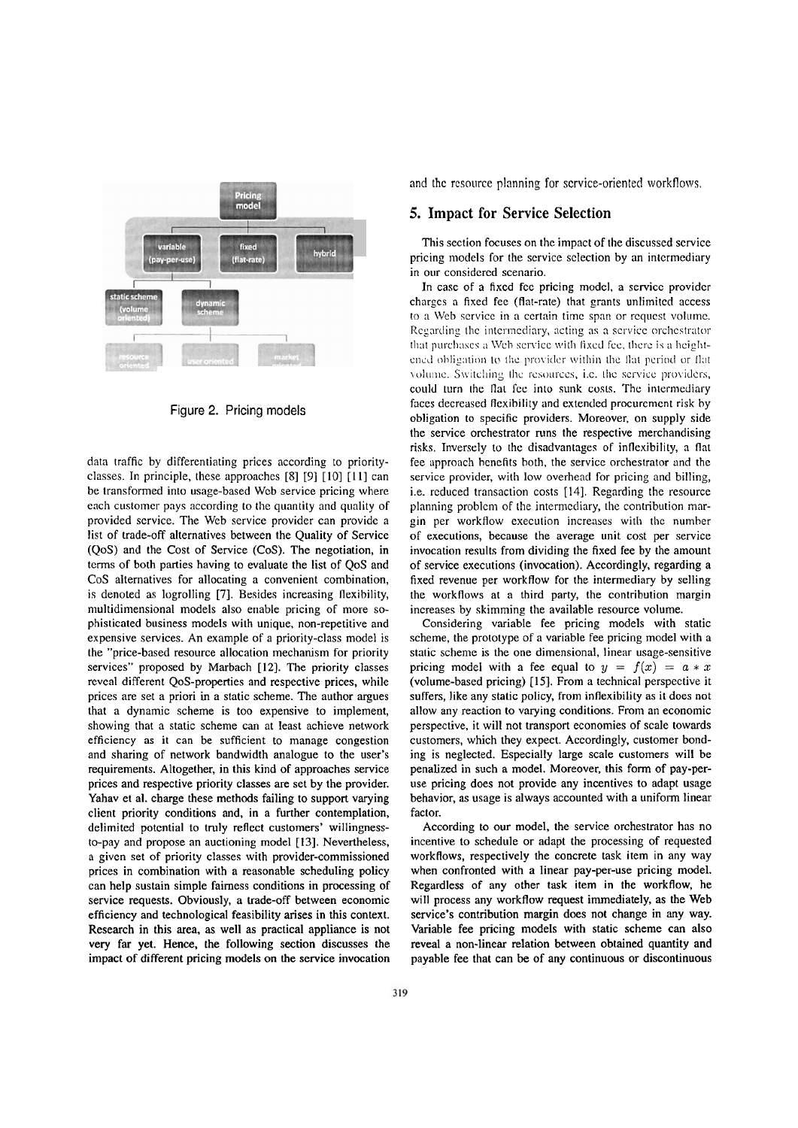

Figure 2. Pricing models

data traffic by differentiating prices according to priorityclasses. In principle, these approaches [8] [9] [10] [11] can be transformed into usage-based Wcb service pricing where each customer pays according to the quantity and quality of provided service. The Web service provider can providc a list of trade-off alternatives between the Quality of Service (QoS) and the Cost of Service (CoS). The negotiation, in terms of both parties having to evaluate the list of QoS and CoS alternatives for allocating a convenient combination, is denoted as logrolling [7]. Besides increasing flexibility, multidimensional models also enable pricing of more sophisticated business models with unique, non-repetitive and expensive sewices. An example of a priority-class model is the "price-based resource allocation mechanism for priority services" proposed by Marbach [12]. The priority classes reveal different QoS-properties and respective prices, while prices are set a priori in a static scheme. The author argues that a dynarnic scheme is too expensive to implement, showing that a static scheme can at least achieve network efficiency **as** it can be sufficient to manage congestion and sharing of network bandwidth analogue to the user's requirements. Altogether, in this kind of approaches service prices and respective priority classes are set by the provider. Yahav et al. charge these methods failing to support varying client priority conditions and, in a further contemplation, delimited potential to truly reflect customers' willingnessto-pay and propose an auctioning model [13]. Nevertheless, a givcn set of priority classes with provider-commissioned prices in combination with a reasonable scheduling policy can help sustain simple faimess conditions in processing of service requests. Obviously, a trade-off between economic efficiency and technological feasibility arises in this context. Research in this area, **as** well as practical appliance is not very far yet. Hence, the following section discusses the impact of different pricing models on the service invocation

and the resource planning for service-oriented workflows.

#### **5. Impact for Service Selection**

This section focuses on the impact of the discussed service pricing models for the service sclection by an intermediary in our considcrcd scenario.

In casc of a fixcd fcc pricing modcl, a scrvicc providcr chargcs a fixed Fee (Rat-rate) that grants unlimitcd access to a Web scrvice in a certain time span or request volume. Regarding the intermediary, acting as a service orchestrator that purchases a Web service with fixed fee, there is a heightened obligation to the provider within the flat period or flat volume. Switching the resources, i.e. the service providers, could turn the flat fee into sunk costs. The intermediary faces decreased flexibility and extended procurement risk by obligation to specific providers. Moreover, on supply side the service orchestrator runs the respective merchandising risks. Inversely to the disadvantages of inflexibility, a flat fee approach hcncfits hoth, the servicc orchestrator and the service provider, with low overhend for pricing and billing, i.e. rcduced transaction costs [14]. Regarding the resource planning problem of the intermediary, the contribution margin per workflow execution increases with the number of executions, because the average unit cost per service invocation results from dividing the fixed fee by the amount of service executions (invocation). Accordingly, regarding a fixed revenue per workflow for the intermediary by selling the workflows at a third party, the contribution margin increases by skimming the available resource volume.

Considering variable fee pricing models with static scheme, the prototype of a variable Fee pricing model with a staiic scheme is the one dimensional, linear usage-sensitive pricing model with a fee equal to  $y = f(x) = a * x$ (volume-based pricing) [15]. From a technical perspective it suffers, like any static policy, from inflexibility as it does not allow any reaction to varying conditions. From an economic perspective, it will not transport economies of scale towards customers, which they expect. Accordingly, customer bonding is neglected. Especially large scale customers will be penalized in such a model. Moreover, this form of pay-peruse pricing does not provide any incentives to adapt usage behavior, as usage is always accounted with a uniform linear factor.

According to our model, the service orchestrator has no incentive to schedule or adapt the processing of requested workflows, respectively the concrete task item in any way when confronted with a linear pay-per-use pricing model. Regardless of any other task item in the workflow, he will process any workflow request immediately, as the Web service's contribution margin does not change in any way. Variable fee pricing models with static scheme **can** also reveal a non-linear relation between obtained quantity and payable fee that can **be** of any continuous or discontinuous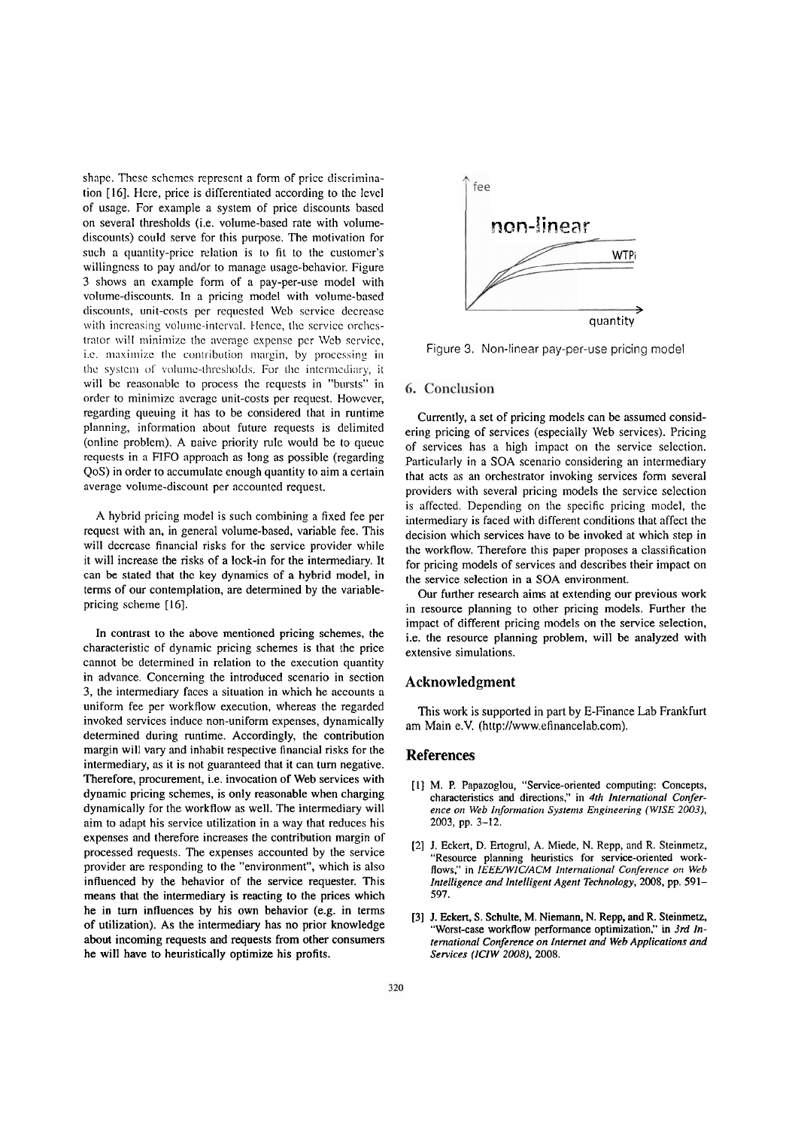shape. These schemes represent a form of price discrimination [16]. Here, price is differentiated according to the level of usage. For example a system of price discounts based on several thresholds (i.e. volume-based rate with volumediscounts) could serve for this purpose. The motivation for such a quantity-price relation is to fit to the customer's willingness to pay and/or to manage usage-behavior. Figure 3 shows an example form of a pay-per-use model with volume-discounts. In a pricing model with volume-based discounts, unit-costs per requested Web service decrease with increasing volume-interval. Hence, the service orchestrator will minimize the average expense per Web service, i.e. maximize the contribution margin, by processing in the system of volume-thresholds. For the intermediary, it will be reasonable to process the requests in "bursts" in order to minimize average unit-costs per request. However, regarding queuing it has to be considered that in runtime planning, information about future requests is delimited (online problem). A naive priority rule would be to queue requests in a FIFO approach as long as possible (regarding QoS) in order to accumulate enough quantity to aim a certain average volume-discount per accounted request.

A hybrid pricing model is such combining a fixed fee per request with an, in general volume-based, variable fee. This will decrease financial risks for the service provider while it will increase the risks of a lock-in for the intermediary. It can be stated that the key dynamics of a hybrid model, in terms of our contemplation, are determined by the variablepricing scheme [16].

In contrast to the above mentioned pricing schemes, the characteristic of dynamic pricing schemes is that the price cannot be determined in relation to the execution quantity in advance. Concerning the introduced scenario in section 3, the intermediary faces a situation in which he accounts a uniform fee per workflow execution, whereas the regarded invoked services induce non-uniform expenses, dynamically determined during runtime. Accordingly, the contribution margin will vary and inhabit respective financial risks for the intermediary, as it is not guaranteed that it can turn negative. Therefore, procurement, i.e. invocation of Web services with dynamic pricing schemes, is only reasonable when charging dynamically for the workflow as well. The intermediary will aim to adapt his service utilization in a way that reduces his expenses and therefore increases the contribution margin of processed requests. The expenses accounted by the service provider are responding to the "environment", which is also influenced by the behavior of the service requester. This means that the intermediary is reacting to the prices which he in turn influences by his own behavior (e.g. in terms of utilization). As the intermediary has no prior knowledge about incoming requests and requests from other consumers he will have to heuristically optimize his profits.



Figure 3. Non-linear pay-per-use pricing model

#### 6. Conclusion

Currently, a set of pricing models can be assumed considering pricing of services (especially Web services). Pricing of services has a high impact on the service selection. Particularly in a SOA scenario considering an intermediary that acts as an orchestrator invoking services form several providers with several pricing models the service selection is affected. Depending on the specific pricing model, the intermediary is faced with different conditions that affect the decision which services have to be invoked at which step in the workflow. Therefore this paper proposes a classification for pricing models of services and describes their impact on the service selection in a SOA environment.

Our further research aims at extending our previous work in resource planning to other pricing models. Further the impact of different pricing models on the service selection, i.e. the resource planning problem, will be analyzed with extensive simulations.

#### Acknowledgment

This work is supported in part by E-Finance Lab Frankfurt am Main e.V. (http://www.efinancelab.com).

#### **References**

- [1] M. P. Papazoglou, "Service-oriented computing: Concepts, characteristics and directions," in 4th International Conference on Web Information Systems Engineering (WISE 2003), 2003, pp. 3-12.
- [2] J. Eckert, D. Ertogrul, A. Miede, N. Repp, and R. Steinmetz, 'Resource planning heuristics for service-oriented workflows," in IEEE/WIC/ACM International Conference on Web Intelligence and Intelligent Agent Technology, 2008, pp. 591-597.
- [3] J. Eckert, S. Schulte, M. Niemann, N. Repp, and R. Steinmetz, 'Worst-case workflow performance optimization," in 3rd International Conference on Internet and Web Applications and Services (ICIW 2008), 2008.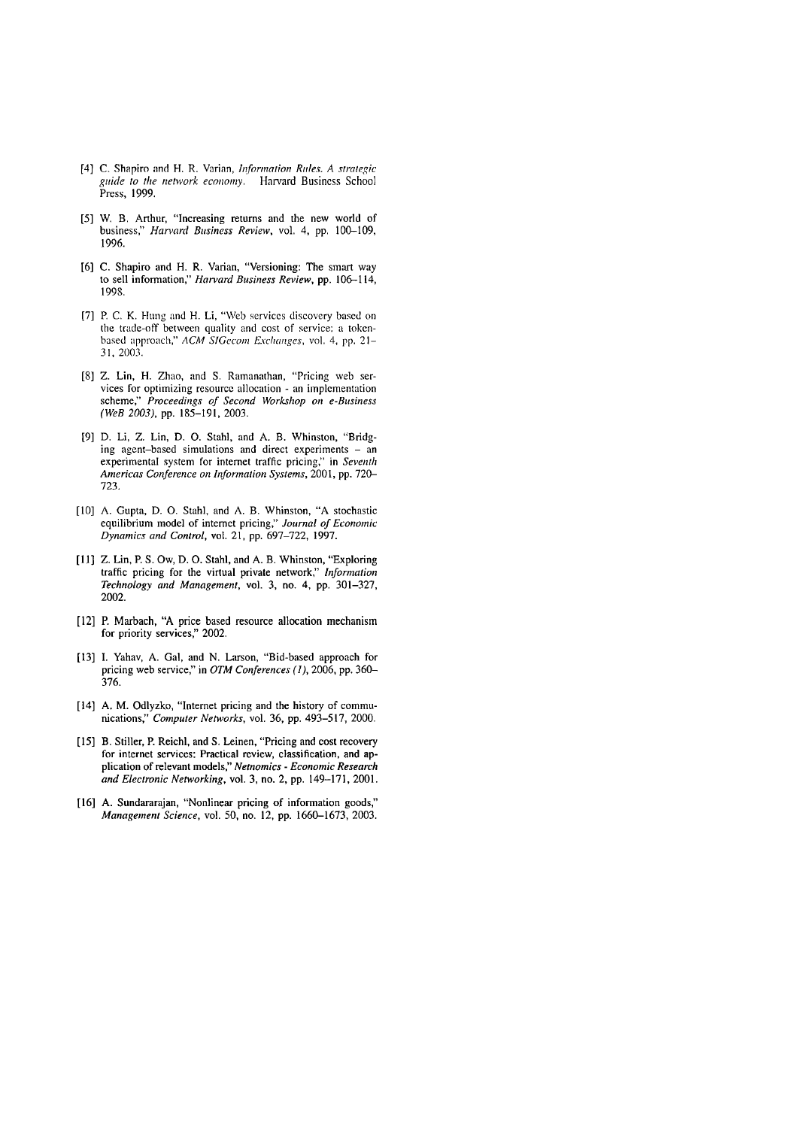- [4] C. Shapiro and H. R. Varian, Information Rules. A strategic guide to the network economy. Harvard Business School Press, 1999.
- [5] W. B. Arthur, "Increasing returns and the new world of business," Harvard Business Review, vol. 4, pp. 100-109, 1996.
- [6] C. Shapiro and H. R. Varian, "Versioning: The smart way to sell information," Harvard Business Review, pp. 106-114, 1998
- [7] P. C. K. Hung and H. Li, "Web services discovery based on the trade-off between quality and cost of service: a tokenbased approach," ACM SIGecom Exchanges, vol. 4, pp. 21-31, 2003.
- [8] Z. Lin, H. Zhao, and S. Ramanathan, "Pricing web services for optimizing resource allocation - an implementation scheme," Proceedings of Second Workshop on e-Business (WeB 2003), pp. 185-191, 2003.
- [9] D. Li, Z. Lin, D. O. Stahl, and A. B. Whinston, "Bridging agent-based simulations and direct experiments - an experimental system for internet traffic pricing," in Seventh Americas Conference on Information Systems, 2001, pp. 720-723.
- [10] A. Gupta, D. O. Stahl, and A. B. Whinston, "A stochastic equilibrium model of internet pricing," Journal of Economic Dynamics and Control, vol. 21, pp. 697-722, 1997.
- [11] Z. Lin, P. S. Ow, D. O. Stahl, and A. B. Whinston, "Exploring traffic pricing for the virtual private network," Information Technology and Management, vol. 3, no. 4, pp. 301-327, 2002.
- [12] P. Marbach, "A price based resource allocation mechanism for priority services," 2002.
- [13] I. Yahav, A. Gal, and N. Larson, "Bid-based approach for  $\ldots$ ,  $\ldots$ ,  $\ldots$ ,  $\ldots$ ,  $\ldots$ ,  $\ldots$ ,  $\ldots$ ,  $\ldots$ ,  $\ldots$ ,  $\ldots$ ,  $\ldots$ ,  $\ldots$ ,  $\ldots$ ,  $\ldots$ ,  $\ldots$ ,  $\ldots$ ,  $\ldots$ ,  $\ldots$ ,  $\ldots$ ,  $\ldots$ ,  $\ldots$ ,  $\ldots$ ,  $\ldots$ ,  $\ldots$ ,  $\ldots$ ,  $\ldots$ ,  $\ldots$ ,  $\ldots$ ,  $\ldots$ ,  $\ldots$ ,  $\ldots$ ,  $\ldots$
- [14] A. M. Odlyzko, "Internet pricing and the history of communications," Computer Networks, vol. 36, pp. 493-517, 2000.
- [15] B. Stiller, P. Reichl, and S. Leinen, "Pricing and cost recovery for internet services: Practical review, classification, and application of relevant models," Netnomics - Economic Research and Electronic Networking, vol. 3, no. 2, pp. 149-171, 2001.
- [16] A. Sundararajan, "Nonlinear pricing of information goods," Management Science, vol. 50, no. 12, pp. 1660-1673, 2003.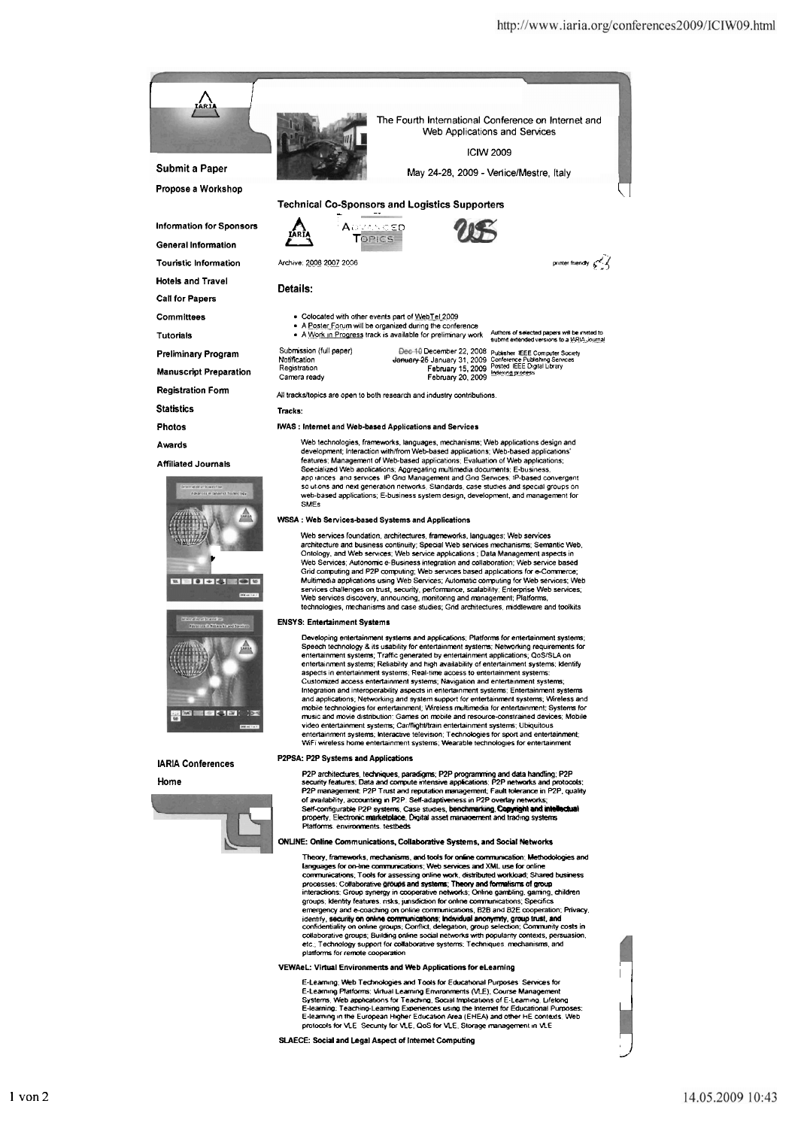

VEWAeL: Virtual Environments and Web Applications for eLearning

E-Learning; Web Technologies and Tools for Educational Purposes: Services for E-Learning Web Technologies and Tools for Educational Purposes Services for<br>E-Learning Platforms: Virtual Learning Environments (VLE), Course Management<br>Systems, Web applications for Teaching, Social Implications of E-Lear

SLAECE: Social and Legal Aspect of Internet Computing

platforms for remote cooperation